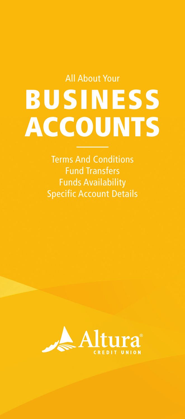# All About Your BUSINESS ACCOUNTS

Terms And Conditions Fund Transfers Funds Availability Specific Account Details

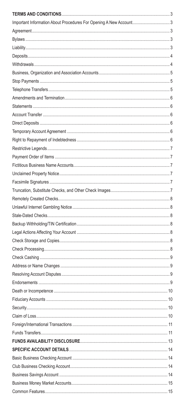| Important Information About Procedures For Opening A New Account 3 |  |
|--------------------------------------------------------------------|--|
|                                                                    |  |
|                                                                    |  |
|                                                                    |  |
|                                                                    |  |
|                                                                    |  |
|                                                                    |  |
|                                                                    |  |
|                                                                    |  |
|                                                                    |  |
|                                                                    |  |
|                                                                    |  |
|                                                                    |  |
|                                                                    |  |
|                                                                    |  |
|                                                                    |  |
|                                                                    |  |
|                                                                    |  |
|                                                                    |  |
|                                                                    |  |
|                                                                    |  |
|                                                                    |  |
|                                                                    |  |
|                                                                    |  |
|                                                                    |  |
|                                                                    |  |
|                                                                    |  |
|                                                                    |  |
|                                                                    |  |
|                                                                    |  |
|                                                                    |  |
|                                                                    |  |
|                                                                    |  |
|                                                                    |  |
|                                                                    |  |
|                                                                    |  |
|                                                                    |  |
|                                                                    |  |
|                                                                    |  |
|                                                                    |  |
|                                                                    |  |
|                                                                    |  |
|                                                                    |  |
|                                                                    |  |
|                                                                    |  |
|                                                                    |  |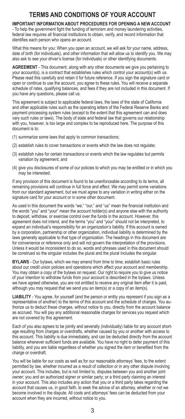## **TERMS AND CONDITIONS OF YOUR ACCOUNT**

**IMPORTANT INFORMATION ABOUT PROCEDURES FOR OPENING A NEW ACCOUNT**  - To help the government fight the funding of terrorism and money laundering activities, federal law requires all financial institutions to obtain, verify, and record information that identifies each person who opens an account.

What this means for you: When you open an account, we will ask for your name, address, date of birth (for individuals), and other information that will allow us to identify you. We may also ask to see your driver's license (for individuals) or other identifying documents.

**AGREEMENT** - This document, along with any other documents we give you pertaining to your account(s), is a contract that establishes rules which control your account(s) with us. Please read this carefully and retain it for future reference. If you sign the signature card or open or continue to use the account, you agree to these rules. You will receive a separate schedule of rates, qualifying balances, and fees if they are not included in this document. If you have any questions, please call us.

This agreement is subject to applicable federal laws, the laws of the state of California and other applicable rules such as the operating letters of the Federal Reserve Banks and payment processing system rules (except to the extent that this agreement can and does vary such rules or laws). The body of state and federal law that governs our relationship with you, however, is too large and complex to be reproduced here. The purpose of this document is to:

- (1) summarize some laws that apply to common transactions;
- (2) establish rules to cover transactions or events which the law does not regulate;
- (3) establish rules for certain transactions or events which the law regulates but permits variation by agreement; and
- (4) give you disclosures of some of our policies to which you may be entitled or in which you may be interested.

If any provision of this document is found to be unenforceable according to its terms, all remaining provisions will continue in full force and effect. We may permit some variations from our standard agreement, but we must agree to any variation in writing either on the signature card for your account or in some other document.

As used in this document the words "we," "our," and "us" mean the financial institution and the words "you" and "your" mean the account holder(s) and anyone else with the authority to deposit, withdraw, or exercise control over the funds in the account. However, this agreement does not intend, and the terms "you" and "your" should not be interpreted, to expand an individual's responsibility for an organization's liability. If this account is owned by a corporation, partnership or other organization, individual liability is determined by the laws generally applicable to that type of organization. The headings in this document are for convenience or reference only and will not govern the interpretation of the provisions. Unless it would be inconsistent to do so, words and phrases used in this document should be construed so the singular includes the plural and the plural includes the singular.

**BYLAWS** - Our bylaws, which we may amend from time to time, establish basic rules about our credit union policies and operations which affect your account and membership. You may obtain a copy of the bylaws on request. Our right to require you to give us notice of your intention to withdraw funds from your account is described in the bylaws. Unless we have agreed otherwise, you are not entitled to receive any original item after it is paid, although you may request that we send you an item(s) or a copy of an item(s).

**LIABILITY** - You agree, for yourself (and the person or entity you represent if you sign as a representative of another) to the terms of this account and the schedule of charges. You authorize us to deduct these charges, without notice to you, directly from the account balance as accrued. You will pay any additional reasonable charges for services you request which are not covered by this agreement.

Each of you also agrees to be jointly and severally (individually) liable for any account shortage resulting from charges or overdrafts, whether caused by you or another with access to this account. This liability is due immediately, and can be deducted directly from the account balance whenever sufficient funds are available. You have no right to defer payment of this liability, and you are liable regardless of whether you signed the item or benefited from the charge or overdraft.

You will be liable for our costs as well as for our reasonable attorneys' fees, to the extent permitted by law, whether incurred as a result of collection or in any other dispute involving your account. This includes, but is not limited to, disputes between you and another joint owner; you and an authorized signer or similar party; or a third party claiming an interest in your account. This also includes any action that you or a third party takes regarding the account that causes us, in good faith, to seek the advice of an attorney, whether or not we become involved in the dispute. All costs and attorneys' fees can be deducted from your account when they are incurred, without notice to you.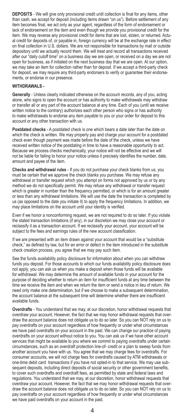**DEPOSITS** - We will give only provisional credit until collection is final for any items, other than cash, we accept for deposit (including items drawn "on us"). Before settlement of any item becomes final, we act only as your agent, regardless of the form of endorsement or lack of endorsement on the item and even though we provide you provisional credit for the item. We may reverse any provisional credit for items that are lost, stolen, or returned. Actual credit for deposits of, or payable in, foreign currency will be at the exchange rate in effect on final collection in U.S. dollars. We are not responsible for transactions by mail or outside depository until we actually record them. We will treat and record all transactions received after our "daily cutoff time" on a business day we are open, or received on a day we are not open for business, as if initiated on the next business day that we are open. At our option, we may take an item for collection rather than for deposit. If we accept a third-party check for deposit, we may require any third-party endorsers to verify or guarantee their endorsements, or endorse in our presence.

#### **WITHDRAWALS -**

**Generally** - Unless clearly indicated otherwise on the account records, any of you, acting alone, who signs to open the account or has authority to make withdrawals may withdraw or transfer all or any part of the account balance at any time. Each of you (until we receive written notice to the contrary) authorizes each other person who signs or has authority to make withdrawals to endorse any item payable to you or your order for deposit to this account or any other transaction with us.

**Postdated checks** - A postdated check is one which bears a date later than the date on which the check is written. We may properly pay and charge your account for a postdated check even though payment was made before the date of the check, unless we have received written notice of the postdating in time to have a reasonable opportunity to act. Because we process checks mechanically, your notice will not be effective and we will not be liable for failing to honor your notice unless it precisely identifies the number, date, amount and payee of the item.

**Checks and withdrawal rules** - If you do not purchase your check blanks from us, you must be certain that we approve the check blanks you purchase. We may refuse any withdrawal or transfer request which you attempt on forms not approved by us or by any method we do not specifically permit. We may refuse any withdrawal or transfer request which is greater in number than the frequency permitted, or which is for an amount greater or less than any withdrawal limitations. We will use the date the transaction is completed by us (as opposed to the date you initiate it) to apply the frequency limitations. In addition, we may place limitations on the account until your identity is verified.

Even if we honor a nonconforming request, we are not required to do so later. If you violate the stated transaction limitations (if any), in our discretion we may close your account or reclassify it as a transaction account. If we reclassify your account, your account will be subject to the fees and earnings rules of the new account classification.

If we are presented with an item drawn against your account that would be a "substitute check," as defined by law, but for an error or defect in the item introduced in the substitute check creation process, you agree that we may pay such item.

See the funds availability policy disclosure for information about when you can withdraw funds you deposit. For those accounts to which our funds availability policy disclosure does not apply, you can ask us when you make a deposit when those funds will be available for withdrawal. We may determine the amount of available funds in your account for the purpose of deciding whether to return an item for insufficient funds at any time between the time we receive the item and when we return the item or send a notice in lieu of return. We need only make one determination, but if we choose to make a subsequent determination, the account balance at the subsequent time will determine whether there are insufficient available funds.

**Overdrafts** - You understand that we may, at our discretion, honor withdrawal requests that overdraw your account. However, the fact that we may honor withdrawal requests that overdraw the account balance does not obligate us to do so later. So you can NOT rely on us to pay overdrafts on your account regardless of how frequently or under what circumstances we have paid overdrafts on your account in the past. We can change our practice of paying overdrafts on your account without notice to you. You can ask us if we have other account services that might be available to you where we commit to paying overdrafts under certain circumstances, such as an overdraft protection line-of- credit or a plan to sweep funds from another account you have with us. You agree that we may charge fees for overdrafts. For consumer accounts, we will not charge fees for overdrafts caused by ATM withdrawals or one-time debit card transactions if you have not opted-in to that service. We may use subsequent deposits, including direct deposits of social security or other government benefits, to cover such overdrafts and overdraft fees, as permitted by state and federal laws and regulations. You understand that we may, at our discretion, honor withdrawal requests that overdraw your account. However, the fact that we may honor withdrawal requests that overdraw the account balance does not obligate us to do so later. So you can NOT rely on us to pay overdrafts on your account regardless of how frequently or under what circumstances we have paid overdrafts on your account in the past.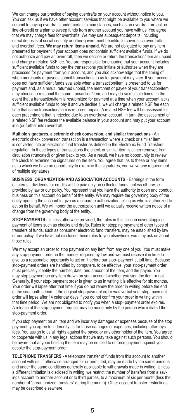We can change our practice of paying overdrafts on your account without notice to you. You can ask us if we have other account services that might be available to you where we commit to paying overdrafts under certain circumstances, such as an overdraft protection line-of-credit or a plan to sweep funds from another account you have with us. You agree that we may charge fees for overdrafts. We may use subsequent deposits, including direct deposits of social security or other government benefits, to cover such overdrafts and overdraft fees. **We may return items unpaid.** We are not obligated to pay any item presented for payment if your account does not contain sufficient available funds. If we do not authorize and pay an overdraft, then we decline or return the transaction/item as unpaid and charge a related NSF fee. You are responsible for ensuring that your account includes sufficient available funds to pay the transactions you initiate or authorize when they are processed for payment from your account, and you also acknowledge that the timing of when merchants or payees submit transactions to us for payment may vary. If your account does not have sufficient funds available when a transaction/item is presented to us for payment and, as a result, returned unpaid, the merchant or payee of your transaction/item may choose to resubmit the same transaction/item, and may do so multiple times. In the event that a transaction/item is resubmitted for payment at a time when your account lacks sufficient available funds to pay it and we decline it, we will charge a related NSF fee each time that same transaction/item is returned unpaid. A related NSF fee will be assessed for each presentment that is rejected due to an overdrawn account. In turn, the assessment of a related NSF fee reduces the available balance in your account and may put your account into (or further into) overdraft.

**Multiple signatures, electronic check conversion, and similar transactions** - An electronic check conversion transaction is a transaction where a check or similar item is converted into an electronic fund transfer as defined in the Electronic Fund Transfers regulation. In these types of transactions the check or similar item is either removed from circulation (truncated) or given back to you. As a result, we have no opportunity to review the check to examine the signatures on the item. You agree that, as to these or any items as to which we have no opportunity to examine the signatures, you waive any requirement of multiple signatures.

**BUSINESS, ORGANIZATION AND ASSOCIATION ACCOUNTS** - Earnings in the form of interest, dividends, or credits will be paid only on collected funds, unless otherwise provided by law or our policy. You represent that you have the authority to open and conduct business on this account on behalf of the entity. We may require the governing body of the entity opening the account to give us a separate authorization telling us who is authorized to act on its behalf. We will honor the authorization until we actually receive written notice of a change from the governing body of the entity.

**STOP PAYMENTS** - Unless otherwise provided, the rules in this section cover stopping payment of items such as checks and drafts. Rules for stopping payment of other types of transfers of funds, such as consumer electronic fund transfers, may be established by law or our policy. If we have not disclosed these rules to you elsewhere, you may ask us about those rules.

We may accept an order to stop payment on any item from any one of you. You must make any stop-payment order in the manner required by law and we must receive it in time to give us a reasonable opportunity to act on it before our stop- payment cutoff time. Because stop-payment orders are handled by computers, to be effective, your stop-payment order must precisely identify the number, date, and amount of the item, and the payee. You may stop payment on any item drawn on your account whether you sign the item or not. Generally, if your stop- payment order is given to us in writing it is effective for six months. Your order will lapse after that time if you do not renew the order in writing before the end of the six-month period. If the original stop-payment order was verbal your stop- payment order will lapse after 14 calendar days if you do not confirm your order in writing within that time period. We are not obligated to notify you when a stop- payment order expires. A release of the stop-payment request may be made only by the person who initiated the stop-payment order.

If you stop payment on an item and we incur any damages or expenses because of the stop payment, you agree to indemnify us for those damages or expenses, including attorneys' fees. You assign to us all rights against the payee or any other holder of the item. You agree to cooperate with us in any legal actions that we may take against such persons. You should be aware that anyone holding the item may be entitled to enforce payment against you despite the stop-payment order.

**TELEPHONE TRANSFERS** - A telephone transfer of funds from this account to another account with us, if otherwise arranged for or permitted, may be made by the same persons and under the same conditions generally applicable to withdrawals made in writing. Unless a different limitation is disclosed in writing, we restrict the number of transfers from a savings account to another account or to third parties, to a maximum of six per month (less the number of "preauthorized transfers" during the month). Other account transfer restrictions may be described elsewhere.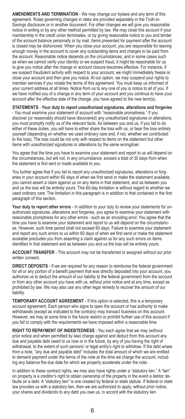**AMENDMENTS AND TERMINATION** - We may change our bylaws and any term of this agreement. Rules governing changes in rates are provided separately in the Truth-in-Savings disclosure or in another document. For other changes we will give you reasonable notice in writing or by any other method permitted by law. We may close this account if your membership in the credit union terminates, or by giving reasonable notice to you and tender of the account balance personally or by mail. Items presented for payment after the account is closed may be dishonored. When you close your account, you are responsible for leaving enough money in the account to cover any outstanding items and charges to be paid from the account. Reasonable notice depends on the circumstances, and in some cases such as when we cannot verify your identity or we suspect fraud, it might be reasonable for us to give you notice after the change or account closure becomes effective. For instance, if we suspect fraudulent activity with respect to your account, we might immediately freeze or close your account and then give you notice. At our option, we may suspend your rights to member services if you violate the terms of this agreement. You must keep us informed of your current address at all times. Notice from us to any one of you is notice to all of you. If we have notified you of a change in any term of your account and you continue to have your account after the effective date of the change, you have agreed to the new term(s).

**STATEMENTS** - **Your duty to report unauthorized signatures, alterations and forgeries** - You must examine your statement of account with "reasonable promptness." If you discover (or reasonably should have discovered) any unauthorized signatures or alterations, you must promptly notify us of the relevant facts. As between you and us, if you fail to do either of these duties, you will have to either share the loss with us, or bear the loss entirely yourself (depending on whether we used ordinary care and, if not, whether we contributed to the loss). The loss could be not only with respect to items on the statement but other items with unauthorized signatures or alterations by the same wrongdoer.

You agree that the time you have to examine your statement and report to us will depend on the circumstances, but will not, in any circumstance, exceed a total of 30 days from when the statement is first sent or made available to you.

You further agree that if you fail to report any unauthorized signatures, alterations or forgeries in your account within 60 days of when we first send or make the statement available. you cannot assert a claim against us on any items in that statement, and as between you and us the loss will be entirely yours. This 60-day limitation is without regard to whether we used ordinary care. The limitation in this paragraph is in addition to that contained in the first paragraph of this section.

**Your duty to report other errors** - In addition to your duty to review your statements for unauthorized signatures, alterations and forgeries, you agree to examine your statement with reasonable promptness for any other errors - such as an encoding error. You agree that the time you have to examine your statement and report to us will depend on the circumstances. However, such time period shall not exceed 60 days. Failure to examine your statement and report any such errors to us within 60 days of when we first send or make the statement available precludes you from asserting a claim against us for any such errors on items identified in that statement and as between you and us the loss will be entirely yours.

**ACCOUNT TRANSFER** - This account may not be transferred or assigned without our prior written consent.

**DIRECT DEPOSITS** - If we are required for any reason to reimburse the federal government for all or any portion of a benefit payment that was directly deposited into your account, you authorize us to deduct the amount of our liability to the federal government from the account or from any other account you have with us, without prior notice and at any time, except as prohibited by law. We may also use any other legal remedy to recover the amount of our liability.

**TEMPORARY ACCOUNT AGREEMENT** - If this option is selected, this is a temporary account agreement. Each person who signs to open the account or has authority to make withdrawals (except as indicated to the contrary) may transact business on this account. However, we may at some time in the future restrict or prohibit further use of this account if you fail to comply with the requirements we have imposed within a reasonable time.

**RIGHT TO REPAYMENT OF INDEBTEDNESS** - You each agree that we may (without prior notice and when permitted by law) charge against and deduct from this account any due and payable debt owed to us now or in the future, by any of you having the right of withdrawal, to the extent of such persons' or legal entity's right to withdraw. If the debt arises from a note, "any due and payable debt" includes the total amount of which we are entitled to demand payment under the terms of the note at the time we charge the account, including any balance the due date for which we properly accelerate under the note.

In addition to these contract rights, we may also have rights under a "statutory lien." A "lien" on property is a creditor's right to obtain ownership of the property in the event a debtor defaults on a debt. A "statutory lien" is one created by federal or state statute. If federal or state law provides us with a statutory lien, then we are authorized to apply, without prior notice, your shares and dividends to any debt you owe us, in accord with the statutory lien.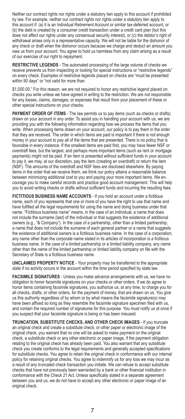Neither our contract rights nor rights under a statutory lien apply to this account if prohibited by law. For example, neither our contract rights nor rights under a statutory lien apply to this account if: (a) it is an Individual Retirement Account or similar tax-deferred account, or (b) the debt is created by a consumer credit transaction under a credit card plan (but this does not affect our rights under any consensual security interest), or (c) the debtor's right of withdrawal arises only in a representative capacity. We will not be liable for the dishonor of any check or draft when the dishonor occurs because we charge and deduct an amount you owe us from your account. You agree to hold us harmless from any claim arising as a result of our exercise of our right to repayment.

**RESTRICTIVE LEGENDS** - The automated processing of the large volume of checks we receive prevents us from inspecting or looking for special instructions or "restrictive legends" on every check. Examples of restrictive legends placed on checks are "must be presented within 90 days" or "not valid for more than

\$1,000.00." For this reason, we are not required to honor any restrictive legend placed on checks you write unless we have agreed in writing to the restriction. We are not responsible for any losses, claims, damages, or expenses that result from your placement of these or other special instructions on your checks.

**PAYMENT ORDER OF ITEMS** - The law permits us to pay items (such as checks or drafts) drawn on your account in any order. To assist you in handling your account with us, we are providing you with the following information regarding how we process the items that you write. When processing items drawn on your account, our policy is to pay them in the order that they are received. The order in which items are paid is important if there is not enough money in your account to pay all of the items that are presented. There is no policy that is favorable in every instance. If the smallest items are paid first, you may have fewer NSF or overdraft fees, but the largest, and perhaps more important items (such as rent or mortgage payments) might not be paid. If an item is presented without sufficient funds in your account to pay it, we may, at our discretion, pay the item (creating an overdraft) or return the item (NSF). The amounts of the overdraft and NSF fees are disclosed elsewhere. By paying items in the order that we receive them, we think our policy attains a reasonable balance between minimizing additional cost to you and paying your more important items. We encourage you to make careful records and practice good account management. This will help you to avoid writing checks or drafts without sufficient funds and incurring the resulting fees.

FICTITIOUS BUSINESS NAME ACCOUNTS - If you hold an account under a fictitious name, each of you represents that one or more of you have the right to use that name and have fulfilled all the legal requirements for using the name and doing business under that name. "Fictitious business name" means, in the case of an individual, a name that does not include the surname (last) of the individual or that suggests the existence of additional owners (e.g., "& Company"). In the case of a partnership, other than a limited partnership, a name that does not include the surname of each general partner or a name that suggests the existence of additional owners is a fictitious business name. In the case of a corporation, any name other than the corporate name stated in its articles of incorporation is a fictitious business name. In the case of a limited partnership or a limited liability company, any name other than the name of the limited partnership or limited liability company on file with the Secretary of State is a fictitious business name.

**UNCLAIMED PROPERTY NOTICE** - Your property may be transferred to the appropriate state if no activity occurs in the account within the time period specified by state law.

**FACSIMILE SIGNATURES** - Unless you make advance arrangements with us, we have no obligation to honor facsimile signatures on your checks or other orders. If we do agree to honor items containing facsimile signatures, you authorize us, at any time, to charge you for all checks, drafts, or other orders, for the payment of money, that are drawn on us. You give us this authority regardless of by whom or by what means the facsimile signature(s) may have been affixed so long as they resemble the facsimile signature specimen filed with us, and contain the required number of signatures for this purpose. You must notify us at once if you suspect that your facsimile signature is being or has been misused.

**TRUNCATION, SUBSTITUTE CHECKS, AND OTHER CHECK IMAGES** - If you truncate an original check and create a substitute check, or other paper or electronic image of the original check, you warrant that no one will be asked to make payment on the original check, a substitute check or any other electronic or paper image, if the payment obligation relating to the original check has already been paid. You also warrant that any substitute check you create conforms to the legal requirements and generally accepted specifications for substitute checks. You agree to retain the original check in conformance with our internal policy for retaining original checks. You agree to indemnify us for any loss we may incur as a result of any truncated check transaction you initiate. We can refuse to accept substitute checks that have not previously been warranted by a bank or other financial institution in conformance with the Check 21 Act. Unless specifically stated in a separate agreement between you and us, we do not have to accept any other electronic or paper image of an original check.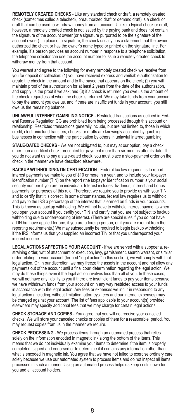**REMOTELY CREATED CHECKS** - Like any standard check or draft, a remotely created check (sometimes called a telecheck, preauthorized draft or demand draft) is a check or draft that can be used to withdraw money from an account. Unlike a typical check or draft, however, a remotely created check is not issued by the paying bank and does not contain the signature of the account owner (or a signature purported to be the signature of the account owner). In place of a signature, the check usually has a statement that the owner authorized the check or has the owner's name typed or printed on the signature line. For example, if a person provides an account number in response to a telephone solicitation, the telephone solicitor can use the account number to issue a remotely created check to withdraw money from that account.

You warrant and agree to the following for every remotely created check we receive from you for deposit or collection: (1) you have received express and verifiable authorization to create the check in the amount and to the payee that appears on the check; (2) you will maintain proof of the authorization for at least 2 years from the date of the authorization, and supply us the proof if we ask; and (3) if a check is returned you owe us the amount of the check, regardless of when the check is returned. We may take funds from your account to pay the amount you owe us, and if there are insufficient funds in your account, you still owe us the remaining balance.

**UNLAWFUL INTERNET GAMBLING NOTICE** - Restricted transactions as defined in Federal Reserve Regulation GG are prohibited from being processed through this account or relationship. Restricted transactions generally include, but are not limited to, those in which credit, electronic fund transfers, checks, or drafts are knowingly accepted by gambling businesses in connection with the participation by others in unlawful Internet gambling.

**STALE-DATED CHECKS** - We are not obligated to, but may at our option, pay a check, other than a certified check, presented for payment more than six months after its date. If you do not want us to pay a stale-dated check, you must place a stop-payment order on the check in the manner we have described elsewhere.

**BACKUP WITHHOLDING/TIN CERTIFICATION** - Federal tax law requires us to report interest payments we make to you of \$10 or more in a year, and to include your taxpayer identification number (TIN) on the report (the taxpayer identification number is your social security number if you are an individual). Interest includes dividends, interest and bonus payments for purposes of this rule. Therefore, we require you to provide us with your TIN and to certify that it is correct. In some circumstances, federal law requires us to withhold and pay to the IRS a percentage of the interest that is earned on funds in your accounts. This is known as backup withholding. We will not have to withhold interest payments when you open your account if you certify your TIN and certify that you are not subject to backup withholding due to underreporting of interest. (There are special rules if you do not have a TIN but have applied for one, if you are a foreign person, or if you are exempt from the reporting requirements.) We may subsequently be required to begin backup withholding if the IRS informs us that you supplied an incorrect TIN or that you underreported your interest income.

**LEGAL ACTIONS AFFECTING YOUR ACCOUNT** - If we are served with a subpoena, restraining order, writ of attachment or execution, levy, garnishment, search warrant, or similar order relating to your account (termed "legal action" in this section), we will comply with that legal action. Or, in our discretion, we may freeze the assets in the account and not allow any payments out of the account until a final court determination regarding the legal action. We may do these things even if the legal action involves less than all of you. In these cases, we will not have any liability to you if there are insufficient funds to pay your items because we have withdrawn funds from your account or in any way restricted access to your funds in accordance with the legal action. Any fees or expenses we incur in responding to any legal action (including, without limitation, attorneys' fees and our internal expenses) may be charged against your account. The list of fees applicable to your account(s) provided elsewhere may specify additional fees that we may charge for certain legal actions.

**CHECK STORAGE AND COPIES** - You agree that you will not receive your canceled checks. We will store your canceled checks or copies of them for a reasonable period. You may request copies from us in the manner we require.

**CHECK PROCESSING** - We process items through an automated process that relies solely on the information encoded in magnetic ink along the bottom of the items. This means that we do not individually examine your items to determine if the item is properly completed, signed and endorsed or to determine if it contains any information other than what is encoded in magnetic ink. You agree that we have not failed to exercise ordinary care solely because we use our automated system to process items and do not inspect all items processed in such a manner. Using an automated process helps us keep costs down for you and all account holders.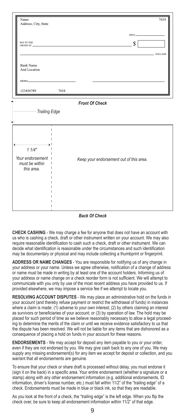| Name<br>Address, City, State                                |                                              |                                         | 7654    |  |
|-------------------------------------------------------------|----------------------------------------------|-----------------------------------------|---------|--|
| PAY TO THE<br>ORDER OF                                      | the control of the control of the control of | DATE:<br>$\mathbf{s}$                   | DOLLARS |  |
| <b>Bank Name</b><br>And Location                            |                                              |                                         |         |  |
| MEMO_<br>123456789                                          | 7654                                         |                                         |         |  |
| <b>Front Of Check</b>                                       |                                              |                                         |         |  |
| Trailing Edge                                               |                                              |                                         |         |  |
| 11/4"<br>Your endorsement  <br>must be within<br>this area. |                                              | Keep your endorsement out of this area. |         |  |

#### *Back Of Check*

**CHECK CASHING** - We may charge a fee for anyone that does not have an account with us who is cashing a check, draft or other instrument written on your account. We may also require reasonable identification to cash such a check, draft or other instrument. We can decide what identification is reasonable under the circumstances and such identification may be documentary or physical and may include collecting a thumbprint or fingerprint.

**ADDRESS OR NAME CHANGES** - You are responsible for notifying us of any change in your address or your name. Unless we agree otherwise, notification of a change of address or name must be made in writing by at least one of the account holders. Informing us of your address or name change on a check reorder form is not sufficient. We will attempt to communicate with you only by use of the most recent address you have provided to us. If provided elsewhere, we may impose a service fee if we attempt to locate you.

**RESOLVING ACCOUNT DISPUTES** - We may place an administrative hold on the funds in your account (and thereby refuse payment or restrict the withdrawal of funds) in instances where a claim is made: (1) adverse to your own interest; (2) by others claiming an interest as survivors or beneficiaries of your account; or (3) by operation of law. The hold may be placed for such period of time as we believe reasonably necessary to allow a legal proceeding to determine the merits of the claim or until we receive evidence satisfactory to us that the dispute has been resolved. We will not be liable for any items that are dishonored as a consequence of placing a hold on funds in your account for these reasons.

**ENDORSEMENTS** - We may accept for deposit any item payable to you or your order, even if they are not endorsed by you. We may give cash back to any one of you. We may supply any missing endorsement(s) for any item we accept for deposit or collection, and you warrant that all endorsements are genuine.

To ensure that your check or share draft is processed without delay, you must endorse it (sign it on the back) in a specific area. Your entire endorsement (whether a signature or a stamp) along with any other endorsement information (e.g. additional endorsements, ID information, driver's license number, etc.) must fall within 11/2" of the "trailing edge" of a check. Endorsements must be made in blue or black ink, so that they are readable.

As you look at the front of a check, the "trailing edge" is the left edge. When you flip the check over, be sure to keep all endorsement information within 11/2" of that edge.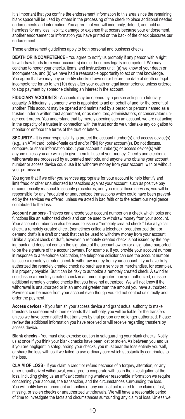It is important that you confine the endorsement information to this area since the remaining blank space will be used by others in the processing of the check to place additional needed endorsements and information. You agree that you will indemnify, defend, and hold us harmless for any loss, liability, damage or expense that occurs because your endorsement, another endorsement or information you have printed on the back of the check obscures our endorsement.

These endorsement quidelines apply to both personal and business checks.

**DEATH OR INCOMPETENCE** - You agree to notify us promptly if any person with a right to withdraw funds from your account(s) dies or becomes legally incompetent. We may continue to honor your checks, items, and instructions until: (a) we know of your death or incompetence, and (b) we have had a reasonable opportunity to act on that knowledge. You agree that we may pay or certify checks drawn on or before the date of death or legal incompetence for up to ten (10) days after your death or legal incompetence unless ordered to stop payment by someone claiming an interest in the account.

FIDUCIARY ACCOUNTS - Accounts may be opened by a person acting in a fiduciary capacity. A fiduciary is someone who is appointed to act on behalf of and for the benefit of another. This account may be opened and maintained by a person or persons named as a trustee under a written trust agreement, or as executors, administrators, or conservators under court orders. You understand that by merely opening such an account, we are not acting in the capacity of a trustee in connection with the trust nor do we undertake any obligation to monitor or enforce the terms of the trust or letters.

**SECURITY** - It is your responsibility to protect the account number(s) and access device(s) (e.g., an ATM card, point-of-sale card and/or PIN) for your account(s). Do not discuss, compare, or share information about your account number(s) or access device(s) with anyone unless you are willing to give them full use of your money. Checks and electronic withdrawals are processed by automated methods, and anyone who obtains your account number or access device could use it to withdraw money from your account, with or without your permission.

You agree that if we offer you services appropriate for your account to help identify and limit fraud or other unauthorized transactions against your account, such as positive pay or commercially reasonable security procedures, and you reject those services, you will be responsible for any fraudulent or unauthorized transactions which could have been prevented by the services we offered, unless we acted in bad faith or to the extent our negligence contributed to the loss.

**Account numbers** - Thieves can encode your account number on a check which looks and functions like an authorized check and can be used to withdraw money from your account. Your account number can also be used to issue a "remotely created check." Like a typical check, a remotely created check (sometimes called a telecheck, preauthorized draft or demand draft) is a draft or check that can be used to withdraw money from your account. Unlike a typical check or draft, however, a remotely created check is not issued by the paying bank and does not contain the signature of the account owner (or a signature purported to be the signature of the account owner). For example, if you provide your account number in response to a telephone solicitation, the telephone solicitor can use the account number to issue a remotely created check to withdraw money from your account. If you have truly authorized the remotely created check (to purchase a service or merchandise, for example), it is properly payable. But it can be risky to authorize a remotely created check. A swindler could issue a remotely created check in an amount greater than you authorized, or issue additional remotely created checks that you have not authorized. We will not know if the withdrawal is unauthorized or in an amount greater than the amount you have authorized. Payment can be made from your account even though you did not contact us directly and order the payment.

**Access devices** - If you furnish your access device and grant actual authority to make transfers to someone who then exceeds that authority, you will be liable for the transfers unless we have been notified that transfers by that person are no longer authorized. Please review the additional information you have received or will receive regarding transfers by access device.

**Blank checks** - You must also exercise caution in safeguarding your blank checks. Notify us at once if you think your blank checks have been lost or stolen. As between you and us, if you are negligent in safeguarding your checks, you must bear the loss entirely yourself, or share the loss with us if we failed to use ordinary care which substantially contributes to the loss.

**CLAIM OF LOSS** - If you claim a credit or refund because of a forgery, alteration, or any other unauthorized withdrawal, you agree to cooperate with us in the investigation of the loss, including giving us an affidavit containing whatever reasonable information we require concerning your account, the transaction, and the circumstances surrounding the loss. You will notify law enforcement authorities of any criminal act related to the claim of lost, missing, or stolen checks or unauthorized withdrawals. We will have a reasonable period of time to investigate the facts and circumstances surrounding any claim of loss. Unless we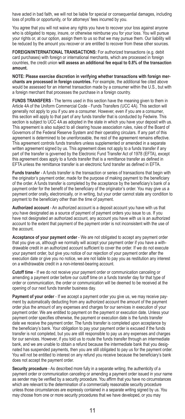have acted in bad faith, we will not be liable for special or consequential damages, including loss of profits or opportunity, or for attorneys' fees incurred by you.

You agree that you will not waive any rights you have to recover your loss against anyone who is obligated to repay, insure, or otherwise reimburse you for your loss. You will pursue your rights or, at our option, assign them to us so that we may pursue them. Our liability will be reduced by the amount you recover or are entitled to recover from these other sources.

**FOREIGN/INTERNATIONAL TRANSACTIONS:** For authorized transactions (e.g. debit card purchases) with foreign or international merchants, which are processed in foreign countries, the credit union **will assess an additional fee equal to 0.8% of the transaction amount.**

**NOTE: Please exercise discretion in verifying whether transactions with foreign merchants are processed in foreign countries.** For example, the additional fee cited above would be assessed for an internet transaction made by a consumer within the U.S., but with a foreign merchant that processes the purchase in a foreign country.

**FUNDS TRANSFERS** - The terms used in this section have the meaning given to them in Article 4A of the Uniform Commercial Code - Funds Transfers (UCC 4A). This section will generally not apply to you if you are a consumer. However, even if you are a consumer, this section will apply to that part of any funds transfer that is conducted by Fedwire. This section is subject to UCC 4A as adopted in the state in which you have your deposit with us. This agreement is also subject to all clearing house association rules, rules of the Board of Governors of the Federal Reserve System and their operating circulars. If any part of this agreement is determined to be unenforceable, the rest of the agreement remains effective. This agreement controls funds transfers unless supplemented or amended in a separate written agreement signed by us. This agreement does not apply to a funds transfer if any part of the transfer is governed by the Electronic Fund Transfer Act of 1978 (EFTA), except this agreement does apply to a funds transfer that is a remittance transfer as defined in EFTA unless the remittance transfer is an electronic fund transfer as defined in EFTA.

**Funds transfer** - A funds transfer is the transaction or series of transactions that begin with the originator's payment order, made for the purpose of making payment to the beneficiary of the order. A funds transfer is completed by the acceptance by the beneficiary's bank of a payment order for the benefit of the beneficiary of the originator's order. You may give us a payment order orally, electronically, or in writing, but your order cannot state any condition to payment to the beneficiary other than the time of payment.

**Authorized account** - An authorized account is a deposit account you have with us that you have designated as a source of payment of payment orders you issue to us. If you have not designated an authorized account, any account you have with us is an authorized account to the extent that payment of the payment order is not inconsistent with the use of the account.

**Acceptance of your payment order** - We are not obligated to accept any payment order that you give us, although we normally will accept your payment order if you have a withdrawable credit in an authorized account sufficient to cover the order. If we do not execute your payment order, but give you notice of our rejection of your payment order after the execution date or give you no notice, we are not liable to pay you as restitution any interest on a withdrawable credit in a non-interest-bearing account.

**Cutoff time** - If we do not receive your payment order or communication canceling or amending a payment order before our cutoff time on a funds transfer day for that type of order or communication, the order or communication will be deemed to be received at the opening of our next funds transfer business day.

**Payment of your order** - If we accept a payment order you give us, we may receive payment by automatically deducting from any authorized account the amount of the payment order plus the amount of any expenses and charges for our services in execution of your payment order. We are entitled to payment on the payment or execution date. Unless your payment order specifies otherwise, the payment or execution date is the funds transfer date we receive the payment order. The funds transfer is completed upon acceptance by the beneficiary's bank. Your obligation to pay your payment order is excused if the funds transfer is not completed, but you are still responsible to pay us any expenses and charges for our services. However, if you told us to route the funds transfer through an intermediate bank, and we are unable to obtain a refund because the intermediate bank that you designated has suspended payments, then you are still obligated to pay us for the payment order. You will not be entitled to interest on any refund you receive because the beneficiary's bank does not accept the payment order.

**Security procedure** - As described more fully in a separate writing, the authenticity of a payment order or communication canceling or amending a payment order issued in your name as sender may be verified by a security procedure. You affirm that you have no circumstances which are relevant to the determination of a commercially reasonable security procedure unless those circumstances are expressly contained in a separate writing signed by us. You may choose from one or more security procedures that we have developed, or you may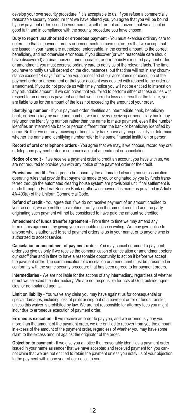develop your own security procedure if it is acceptable to us. If you refuse a commercially reasonable security procedure that we have offered you, you agree that you will be bound by any payment order issued in your name, whether or not authorized, that we accept in good faith and in compliance with the security procedure you have chosen.

**Duty to report unauthorized or erroneous payment** - You must exercise ordinary care to determine that all payment orders or amendments to payment orders that we accept that are issued in your name are authorized, enforceable, in the correct amount, to the correct beneficiary, and not otherwise erroneous. If you discover (or with reasonable care should have discovered) an unauthorized, unenforceable, or erroneously executed payment order or amendment, you must exercise ordinary care to notify us of the relevant facts. The time you have to notify us will depend on the circumstances, but that time will not in any circumstance exceed 14 days from when you are notified of our acceptance or execution of the payment order or amendment or that your account was debited with respect to the order or amendment. If you do not provide us with timely notice you will not be entitled to interest on any refundable amount. If we can prove that you failed to perform either of these duties with respect to an erroneous payment and that we incurred a loss as a result of the failure, you are liable to us for the amount of the loss not exceeding the amount of your order.

**Identifying number** - If your payment order identifies an intermediate bank, beneficiary bank, or beneficiary by name and number, we and every receiving or beneficiary bank may rely upon the identifying number rather than the name to make payment, even if the number identifies an intermediate bank or person different than the bank or beneficiary identified by name. Neither we nor any receiving or beneficiary bank have any responsibility to determine whether the name and identifying number refer to the same financial institution or person.

**Record of oral or telephone orders** - You agree that we may, if we choose, record any oral or telephone payment order or communication of amendment or cancelation.

**Notice of credit** - If we receive a payment order to credit an account you have with us, we are not required to provide you with any notice of the payment order or the credit.

**Provisional credit** - You agree to be bound by the automated clearing house association operating rules that provide that payments made to you or originated by you by funds transferred through the automated clearing house system are provisional until final settlement is made through a Federal Reserve Bank or otherwise payment is made as provided in Article 4A-403(a) of the Uniform Commercial Code.

**Refund of credit** - You agree that if we do not receive payment of an amount credited to your account, we are entitled to a refund from you in the amount credited and the party originating such payment will not be considered to have paid the amount so credited.

**Amendment of funds transfer agreement** - From time to time we may amend any term of this agreement by giving you reasonable notice in writing. We may give notice to anyone who is authorized to send payment orders to us in your name, or to anyone who is authorized to accept service.

**Cancelation or amendment of payment order** - You may cancel or amend a payment order you give us only if we receive the communication of cancelation or amendment before our cutoff time and in time to have a reasonable opportunity to act on it before we accept the payment order. The communication of cancelation or amendment must be presented in conformity with the same security procedure that has been agreed to for payment orders.

**Intermediaries** - We are not liable for the actions of any intermediary, regardless of whether or not we selected the intermediary. We are not responsible for acts of God, outside agencies, or non-salaried agents.

**Limit on liability** - You waive any claim you may have against us for consequential or special damages, including loss of profit arising out of a payment order or funds transfer, unless this waiver is prohibited by law. We are not responsible for attorney fees you might incur due to erroneous execution of payment order.

**Erroneous execution** - If we receive an order to pay you, and we erroneously pay you more than the amount of the payment order, we are entitled to recover from you the amount in excess of the amount of the payment order, regardless of whether you may have some claim to the excess amount against the originator of the order.

**Objection to payment** - If we give you a notice that reasonably identifies a payment order issued in your name as sender that we have accepted and received payment for, you cannot claim that we are not entitled to retain the payment unless you notify us of your objection to the payment within one year of our notice to you.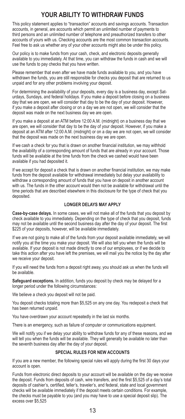## **YOUR ABILITY TO WITHDRAW FUNDS**

This policy statement applies to "transaction" accounts and savings accounts. Transaction accounts, in general, are accounts which permit an unlimited number of payments to third persons and an unlimited number of telephone and preauthorized transfers to other accounts of yours with us. Checking accounts are the most common transaction accounts. Feel free to ask us whether any of your other accounts might also be under this policy.

Our policy is to make funds from your cash, check, and electronic deposits generally available to you immediately. At that time, you can withdraw the funds in cash and we will use the funds to pay checks that you have written.

Please remember that even after we have made funds available to you, and you have withdrawn the funds, you are still responsible for checks you deposit that are returned to us unpaid and for any other problems involving your deposit.

For determining the availability of your deposits, every day is a business day, except Saturdays, Sundays, and federal holidays. If you make a deposit before closing on a business day that we are open, we will consider that day to be the day of your deposit. However, if you make a deposit after closing or on a day we are not open, we will consider that the deposit was made on the next business day we are open.

If you make a deposit at an ATM before 12:00 A.M. (midnight) on a business day that we are open, we will consider that day to be the day of your deposit. However, if you make a deposit at an ATM after 12:00 A.M. (midnight) or on a day we are not open, we will consider that the deposit was made on the next business day we are open.

If we cash a check for you that is drawn on another financial institution, we may withhold the availability of a corresponding amount of funds that are already in your account. Those funds will be available at the time funds from the check we cashed would have been available if you had deposited it.

If we accept for deposit a check that is drawn on another financial institution, we may make funds from the deposit available for withdrawal immediately but delay your availability to withdraw a corresponding amount of funds that you have on deposit in another account with us. The funds in the other account would then not be available for withdrawal until the time periods that are described elsewhere in this disclosure for the type of check that you deposited.

#### **LONGER DELAYS MAY APPLY**

**Case-by-case delays.** In some cases, we will not make all of the funds that you deposit by check available to you immediately. Depending on the type of check that you deposit, funds may not be available until the second business day after the day of your deposit. The first \$225 of your deposits, however, will be available immediately.

If we are not going to make all of the funds from your deposit available immediately, we will notify you at the time you make your deposit. We will also tell you when the funds will be available. If your deposit is not made directly to one of our employees, or if we decide to take this action after you have left the premises, we will mail you the notice by the day after we receive your deposit.

If you will need the funds from a deposit right away, you should ask us when the funds will be available.

**Safeguard exceptions.** In addition, funds you deposit by check may be delayed for a longer period under the following circumstances:

We believe a check you deposit will not be paid.

You deposit checks totaling more than \$5,525 on any one day. You redeposit a check that has been returned unpaid.

You have overdrawn your account repeatedly in the last six months.

There is an emergency, such as failure of computer or communications equipment.

We will notify you if we delay your ability to withdraw funds for any of these reasons, and we will tell you when the funds will be available. They will generally be available no later than the seventh business day after the day of your deposit.

#### **SPECIAL RULES FOR NEW ACCOUNTS**

If you are a new member, the following special rules will apply during the first 30 days your account is open.

Funds from electronic direct deposits to your account will be available on the day we receive the deposit. Funds from deposits of cash, wire transfers, and the first \$5,525 of a day's total deposits of cashier's, certified, teller's, traveler's, and federal, state and local government checks will be available immediately if the deposit meets certain conditions. For example, the checks must be payable to you (and you may have to use a special deposit slip). The excess over \$5,525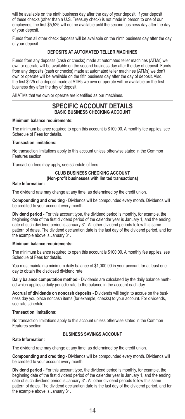will be available on the ninth business day after the day of your deposit. If your deposit of these checks (other than a U.S. Treasury check) is not made in person to one of our employees, the first \$5,525 will not be available until the second business day after the day of your deposit.

Funds from all other check deposits will be available on the ninth business day after the day of your deposit.

#### **DEPOSITS AT AUTOMATED TELLER MACHINES**

Funds from any deposits (cash or checks) made at automated teller machines (ATMs) we own or operate will be available on the second business day after the day of deposit. Funds from any deposits (cash or checks) made at automated teller machines (ATMs) we don't own or operate will be available on the fifth business day after the day of deposit. Also, the first \$225 of a deposit made at ATMs we own or operate will be available on the first business day after the day of deposit.

All ATMs that we own or operate are identified as our machines.

#### **SPECIFIC ACCOUNT DETAILS BASIC BUSINESS CHECKING ACCOUNT**

#### **Minimum balance requirements:**

The minimum balance required to open this account is \$100.00. A monthly fee applies, see Schedule of Fees for details.

#### **Transaction limitations:**

No transaction limitations apply to this account unless otherwise stated in the Common Features section.

Transaction fees may apply, see schedule of fees

#### **CLUB BUSINESS CHECKING ACCOUNT** (Non-profit businesses with limited transactions)

#### **Rate Information:**

The dividend rate may change at any time, as determined by the credit union.

**Compounding and crediting** - Dividends will be compounded every month. Dividends will be credited to your account every month.

**Dividend period** - For this account type, the dividend period is monthly, for example, the beginning date of the first dividend period of the calendar year is January 1, and the ending date of such dividend period is January 31. All other dividend periods follow this same pattern of dates. The dividend declaration date is the last day of the dividend period, and for the example above is January 31.

#### **Minimum balance requirements:**

The minimum balance required to open this account is \$100.00. A monthly fee applies, see Schedule of Fees for details.

You must maintain a minimum daily balance of \$1,000.00 in your account for at least one day to obtain the disclosed dividend rate.

**Daily balance computation method** - Dividends are calculated by the daily balance method which applies a daily periodic rate to the balance in the account each day.

**Accrual of dividends on noncash deposits** - Dividends will begin to accrue on the business day you place noncash items (for example, checks) to your account. For dividends, see rate schedule.

#### **Transaction limitations:**

No transaction limitations apply to this account unless otherwise stated in the Common Features section.

#### **BUSINESS SAVINGS ACCOUNT**

#### **Rate Information:**

The dividend rate may change at any time, as determined by the credit union.

**Compounding and crediting** - Dividends will be compounded every month. Dividends will be credited to your account every month.

**Dividend period** - For this account type, the dividend period is monthly, for example, the beginning date of the first dividend period of the calendar year is January 1, and the ending date of such dividend period is January 31. All other dividend periods follow this same pattern of dates. The dividend declaration date is the last day of the dividend period, and for the example above is January 31.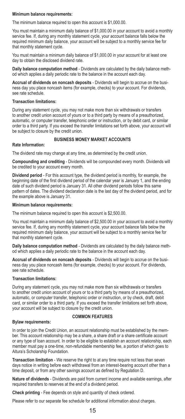#### **Minimum balance requirements:**

The minimum balance required to open this account is \$1,000.00.

You must maintain a minimum daily balance of \$1,000.00 in your account to avoid a monthly service fee. If, during any monthly statement cycle, your account balance falls below the required minimum daily balance, your account will be subject to a monthly service fee for that monthly statement cycle.

You must maintain a minimum daily balance of \$1,000.00 in your account for at least one day to obtain the disclosed dividend rate.

**Daily balance computation method** - Dividends are calculated by the daily balance method which applies a daily periodic rate to the balance in the account each day.

**Accrual of dividends on noncash deposits** - Dividends will begin to accrue on the business day you place noncash items (for example, checks) to your account. For dividends, see rate schedule.

#### **Transaction limitations:**

During any statement cycle, you may not make more than six withdrawals or transfers to another credit union account of yours or to a third party by means of a preauthorized, automatic, or computer transfer, telephonic order or instruction, or by debit card, or similar order to a third party. If you exceed the transfer limitations set forth above, your account will be subject to closure by the credit union.

#### **BUSINESS MONEY MARKET ACCOUNTS**

#### **Rate Information:**

The dividend rate may change at any time, as determined by the credit union.

**Compounding and crediting** - Dividends will be compounded every month. Dividends will be credited to your account every month.

**Dividend period** - For this account type, the dividend period is monthly, for example, the beginning date of the first dividend period of the calendar year is January 1, and the ending date of such dividend period is January 31. All other dividend periods follow this same pattern of dates. The dividend declaration date is the last day of the dividend period, and for the example above is January 31.

#### **Minimum balance requirements:**

The minimum balance required to open this account is \$2,500.00.

You must maintain a minimum daily balance of \$2,500.00 in your account to avoid a monthly service fee. If, during any monthly statement cycle, your account balance falls below the required minimum daily balance, your account will be subject to a monthly service fee for that monthly statement cycle.

**Daily balance computation method** - Dividends are calculated by the daily balance method which applies a daily periodic rate to the balance in the account each day.

**Accrual of dividends on noncash deposits** - Dividends will begin to accrue on the business day you place noncash items (for example, checks) to your account. For dividends, see rate schedule.

#### **Transaction limitations:**

During any statement cycle, you may not make more than six withdrawals or transfers to another credit union account of yours or to a third party by means of a preauthorized, automatic, or computer transfer, telephonic order or instruction, or by check, draft, debit card, or similar order to a third party. If you exceed the transfer limitations set forth above, your account will be subject to closure by the credit union.

#### **Bylaw requirements:**

#### **COMMON FEATURES**

In order to join the Credit Union, an account relationship must be established by the member. This account relationship may be a share, a share draft or a share certificate account or any type of loan account. In order to be eligible to establish an account relationship, each member must pay a one-time, non-refundable membership fee, a portion of which goes to Altura's Scholarship Foundation.

**Transaction limitation** - We reserve the right to at any time require not less than seven days notice in writing before each withdrawal from an interest-bearing account other than a time deposit, or from any other savings account as defined by Regulation D.

**Nature of dividends** - Dividends are paid from current income and available earnings, after required transfers to reserves at the end of a dividend period.

**Check printing** - Fee depends on style and quantity of check ordered.

Please refer to our separate fee schedule for additional information about charges.